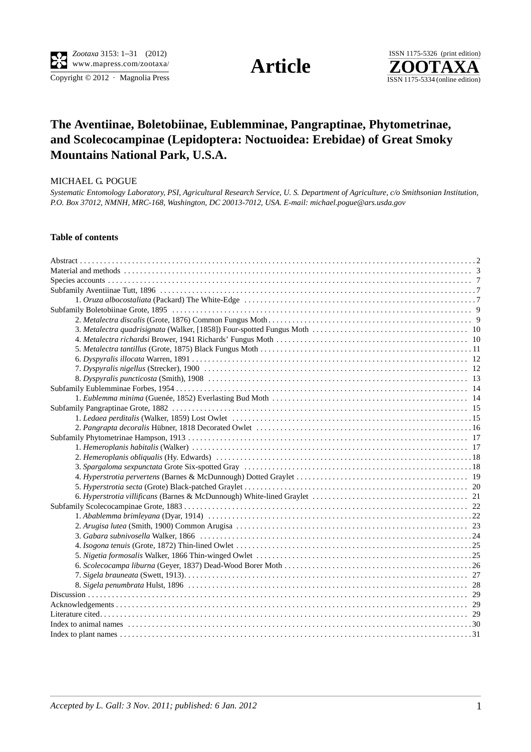Copyright  $\odot$  2012 · Magnolia Press



## **The Aventiinae, Boletobiinae, Eublemminae, Pangraptinae, Phytometrinae, and Scolecocampinae (Lepidoptera: Noctuoidea: Erebidae) of Great Smoky Mountains National Park, U.S.A.**

## MICHAEL G. POGUE

*Systematic Entomology Laboratory, PSI, Agricultural Research Service, U. S. Department of Agriculture, c/o Smithsonian Institution, P.O. Box 37012, NMNH, MRC-168, Washington, DC 20013-7012, USA. E-mail: michael.pogue@ars.usda.gov*

## **Table of contents**